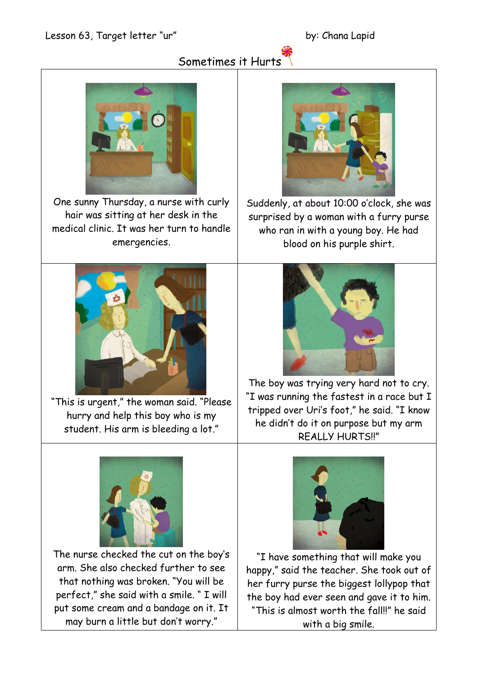## Sometimes it Hurts



One sunny Thursday, a nurse with curly hair was sitting at her desk in the medical clinic. It was her turn to handle emergencies.



"This is urgent," the woman said. "Please hurry and help this boy who is my student. His arm is bleeding a lot."



The nurse checked the cut on the boy's arm. She also checked further to see that nothing was broken. "You will be perfect," she said with a smile. " I will put some cream and a bandage on it. It may burn a little but don't worry."



Suddenly, at about 10:00 o'clock, she was surprised by a woman with a furry purse who ran in with a young boy. He had blood on his purple shirt.



The boy was trying very hard not to cry. "I was running the fastest in a race but I tripped over Uri's foot," he said. "I know he didn't do it on purpose but my arm REALLY HURTS!!"



"I have something that will make you happy," said the teacher. She took out of her furry purse the biggest lollypop that the boy had ever seen and gave it to him. "This is almost worth the fall!!" he said with a big smile.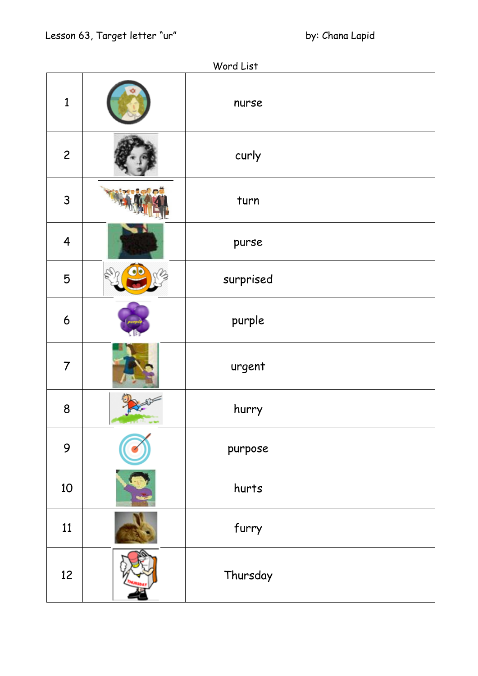| Word List               |  |           |  |
|-------------------------|--|-----------|--|
| $\mathbf{1}$            |  | nurse     |  |
| $\mathbf{2}$            |  | curly     |  |
| $\mathsf{3}$            |  | turn      |  |
| $\overline{\mathbf{4}}$ |  | purse     |  |
| 5                       |  | surprised |  |
| $\boldsymbol{6}$        |  | purple    |  |
| $\overline{7}$          |  | urgent    |  |
| 8                       |  | hurry     |  |
| 9                       |  | purpose   |  |
| 10                      |  | hurts     |  |
| 11                      |  | furry     |  |
| 12                      |  | Thursday  |  |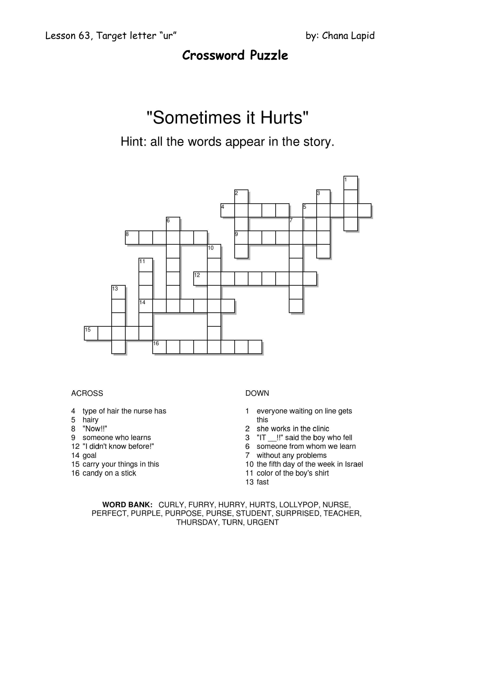## **Crossword Puzzle**

# "Sometimes it Hurts"

### Hint: all the words appear in the story.



#### **ACROSS**

- 4 type of hair the nurse has
- 5 hairy
- 8 "Now!!"
- 9 someone who learns
- 12 "I didn't know before!"
- 14 goal
- 15 carry your things in this
- 16 candy on a stick

#### **DOWN**

- 1 everyone waiting on line gets this
- 2 she works in the clinic
- 3 "IT \_\_!!" said the boy who fell
- 6 someone from whom we learn
- $\overline{7}$ without any problems
- 10 the fifth day of the week in Israel
- 11 color of the boy's shirt
- 13 fast

WORD BANK: CURLY, FURRY, HURRY, HURTS, LOLLYPOP, NURSE, PERFECT, PURPLE, PURPOSE, PURSE, STUDENT, SURPRISED, TEACHER, THURSDAY, TURN, URGENT